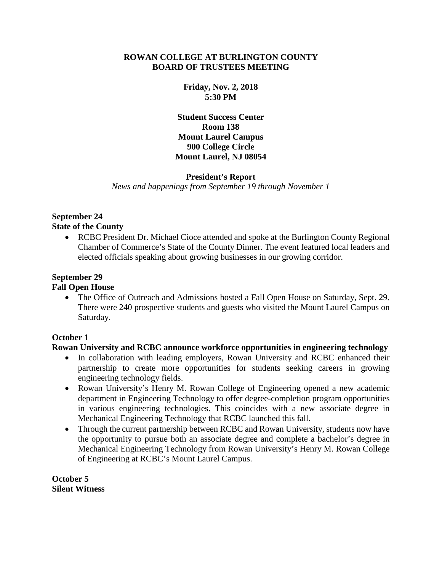### **ROWAN COLLEGE AT BURLINGTON COUNTY BOARD OF TRUSTEES MEETING**

**Friday, Nov. 2, 2018 5:30 PM**

**Student Success Center Room 138 Mount Laurel Campus 900 College Circle Mount Laurel, NJ 08054**

#### **President's Report**

*News and happenings from September 19 through November 1*

#### **September 24 State of the County**

• RCBC President Dr. Michael Cioce attended and spoke at the Burlington County Regional Chamber of Commerce's State of the County Dinner. The event featured local leaders and elected officials speaking about growing businesses in our growing corridor.

# **September 29**

### **Fall Open House**

• The Office of Outreach and Admissions hosted a Fall Open House on Saturday, Sept. 29. There were 240 prospective students and guests who visited the Mount Laurel Campus on Saturday.

## **October 1**

## **Rowan University and RCBC announce workforce opportunities in engineering technology**

- In collaboration with leading employers, Rowan University and RCBC enhanced their partnership to create more opportunities for students seeking careers in growing engineering technology fields.
- Rowan University's Henry M. Rowan College of Engineering opened a new academic department in Engineering Technology to offer degree-completion program opportunities in various engineering technologies. This coincides with a new associate degree in Mechanical Engineering Technology that RCBC launched this fall.
- Through the current partnership between RCBC and Rowan University, students now have the opportunity to pursue both an associate degree and complete a bachelor's degree in Mechanical Engineering Technology from Rowan University's Henry M. Rowan College of Engineering at RCBC's Mount Laurel Campus.

**October 5 Silent Witness**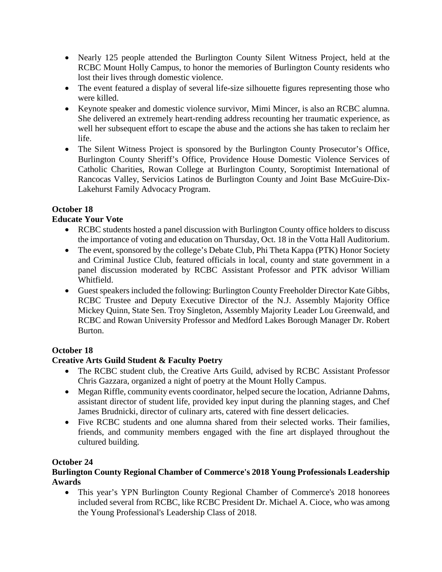- Nearly 125 people attended the Burlington County Silent Witness Project, held at the RCBC Mount Holly Campus, to honor the memories of Burlington County residents who lost their lives through domestic violence.
- The event featured a display of several life-size silhouette figures representing those who were killed.
- Keynote speaker and domestic violence survivor, Mimi Mincer, is also an RCBC alumna. She delivered an extremely heart-rending address recounting her traumatic experience, as well her subsequent effort to escape the abuse and the actions she has taken to reclaim her life.
- The Silent Witness Project is sponsored by the Burlington County Prosecutor's Office, Burlington County Sheriff's Office, Providence House Domestic Violence Services of Catholic Charities, Rowan College at Burlington County, Soroptimist International of Rancocas Valley, Servicios Latinos de Burlington County and Joint Base McGuire-Dix-Lakehurst Family Advocacy Program.

## **October 18**

## **Educate Your Vote**

- RCBC students hosted a panel discussion with Burlington County office holders to discuss the importance of voting and education on Thursday, Oct. 18 in the Votta Hall Auditorium.
- The event, sponsored by the college's Debate Club, Phi Theta Kappa (PTK) Honor Society and Criminal Justice Club, featured officials in local, county and state government in a panel discussion moderated by RCBC Assistant Professor and PTK advisor William Whitfield.
- Guest speakers included the following: Burlington County Freeholder Director Kate Gibbs, RCBC Trustee and Deputy Executive Director of the N.J. Assembly Majority Office Mickey Quinn, State Sen. Troy Singleton, Assembly Majority Leader Lou Greenwald, and RCBC and Rowan University Professor and Medford Lakes Borough Manager Dr. Robert Burton.

## **October 18**

# **Creative Arts Guild Student & Faculty Poetry**

- The RCBC student club, the Creative Arts Guild, advised by RCBC Assistant Professor Chris Gazzara, organized a night of poetry at the Mount Holly Campus.
- Megan Riffle, community events coordinator, helped secure the location, Adrianne Dahms, assistant director of student life, provided key input during the planning stages, and Chef James Brudnicki, director of culinary arts, catered with fine dessert delicacies.
- Five RCBC students and one alumna shared from their selected works. Their families, friends, and community members engaged with the fine art displayed throughout the cultured building.

## **October 24**

## **Burlington County Regional Chamber of Commerce's 2018 Young Professionals Leadership Awards**

• This year's YPN Burlington County Regional Chamber of Commerce's 2018 honorees included several from RCBC, like RCBC President Dr. Michael A. Cioce, who was among the Young Professional's Leadership Class of 2018.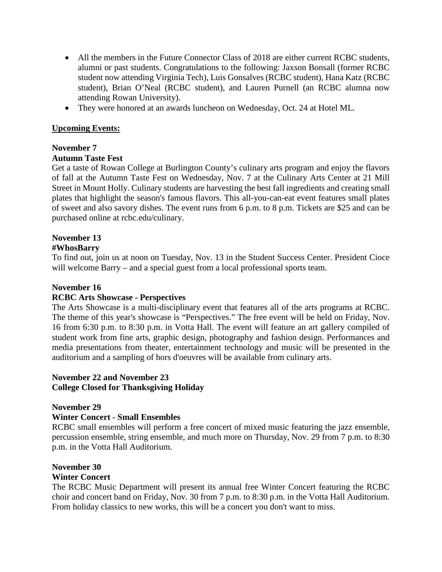- All the members in the Future Connector Class of 2018 are either current RCBC students, alumni or past students. Congratulations to the following: Jaxson Bonsall (former RCBC student now attending Virginia Tech), Luis Gonsalves (RCBC student), Hana Katz (RCBC student), Brian O'Neal (RCBC student), and Lauren Purnell (an RCBC alumna now attending Rowan University).
- They were honored at an awards luncheon on Wednesday, Oct. 24 at Hotel ML.

### **Upcoming Events:**

#### **November 7 Autumn Taste Fest**

Get a taste of Rowan College at Burlington County's culinary arts program and enjoy the flavors of fall at the Autumn Taste Fest on Wednesday, Nov. 7 at the Culinary Arts Center at 21 Mill Street in Mount Holly. Culinary students are harvesting the best fall ingredients and creating small plates that highlight the season's famous flavors. This all-you-can-eat event features small plates of sweet and also savory dishes. The event runs from 6 p.m. to 8 p.m. Tickets are \$25 and can be purchased online at rcbc.edu/culinary.

## **November 13**

## **#WhosBarry**

To find out, join us at noon on Tuesday, Nov. 13 in the Student Success Center. President Cioce will welcome Barry – and a special guest from a local professional sports team.

### **November 16**

#### **RCBC Arts Showcase - Perspectives**

The Arts Showcase is a multi-disciplinary event that features all of the arts programs at RCBC. The theme of this year's showcase is "Perspectives." The free event will be held on Friday, Nov. 16 from 6:30 p.m. to 8:30 p.m. in Votta Hall. The event will feature an art gallery compiled of student work from fine arts, graphic design, photography and fashion design. Performances and media presentations from theater, entertainment technology and music will be presented in the auditorium and a sampling of hors d'oeuvres will be available from culinary arts.

### **November 22 and November 23 College Closed for Thanksgiving Holiday**

#### **November 29**

#### **Winter Concert - Small Ensembles**

RCBC small ensembles will perform a free concert of mixed music featuring the jazz ensemble, percussion ensemble, string ensemble, and much more on Thursday, Nov. 29 from 7 p.m. to 8:30 p.m. in the Votta Hall Auditorium.

## **November 30**

#### **Winter Concert**

The RCBC Music Department will present its annual free Winter Concert featuring the RCBC choir and concert band on Friday, Nov. 30 from 7 p.m. to 8:30 p.m. in the Votta Hall Auditorium. From holiday classics to new works, this will be a concert you don't want to miss.